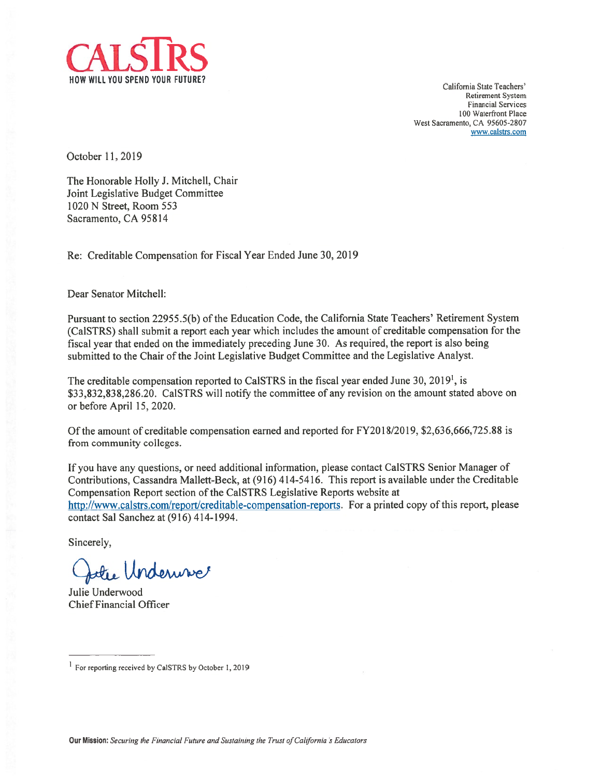

California State Teachers' Retirement System Financial Services 100 Waterfront Place West Sacramento, CA 95605-2807 www.calstrs.com

October 11,2019

The Honorable Holly J. Mitchell, Chair Joint Legislative Budget Committee 1020 N Street, Room 553 Sacramento, CA 95814

Re: Creditable Compensation for fiscal Year Ended June 30, 2019

Dear Senator Mitchell:

Pursuant to section 2295 5.5(b) of the Education Code, the California State Teachers' Retirement System (Ca1STRS) shall submit <sup>a</sup> repor<sup>t</sup> each year which includes the amount of creditable compensation for the fiscal year that ended on the immediately preceding June 30. As required, the repor<sup>t</sup> is also being submitted to the Chair of the Joint Legislative Budget Committee and the Legislative Analyst.

The creditable compensation reported to CaISTRS in the fiscal year ended June 30, 2019<sup>1</sup>, is \$33,832,838,286.20. CaISTRS will notify the committee of any revision on the amount stated above on or before April 15, 2020.

Of the amount of creditable compensation earned and reported for FY2018/2019, \$2,636,666,725.88 is from community colleges.

If you have any questions, or need additional information, please contact CaISTRS Senior Manager of Contributions, Cassandra Mallett-Beck, at (916) 414-5416. This repor<sup>t</sup> is avaitable under the Creditable Compensation Report section of the Ca1STRS Legislative Reports website at http://www.calstrs.com/report/creditable-compensation-reports. For a printed copy of this report, please contact Sal Sanchez at (916) 414-1994.

Sincerely,

Julie Underwise

Julie Underwood Chief financial Officer

<sup>&</sup>lt;sup>1</sup> For reporting received by CalSTRS by October 1, 2019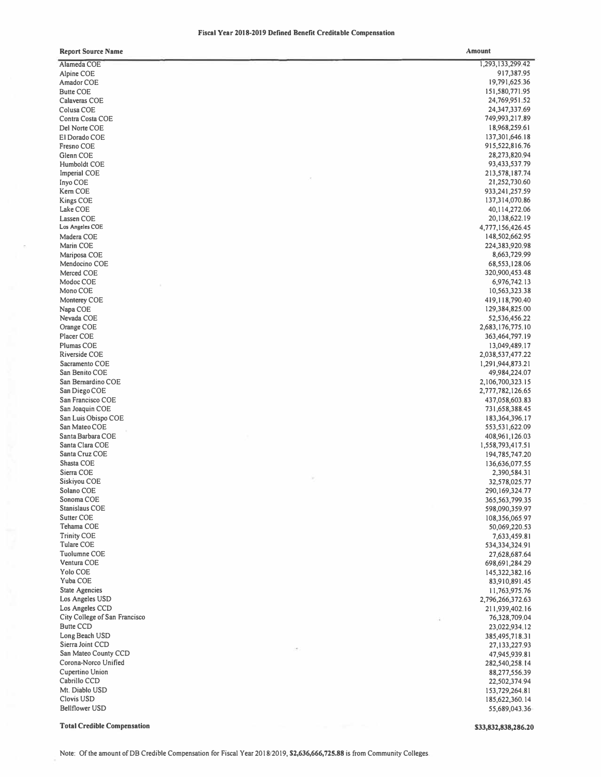## **Fiscal Year 2018-2019 Defined Benefit Creditable Compensation**

| <b>Report Source Name</b>          | Amount            |
|------------------------------------|-------------------|
| Alameda COE                        | 1,293,133,299.42  |
| Alpine COE                         | 917,387.95        |
| Amador COE                         | 19,791,625.36     |
| <b>Butte COE</b>                   | 151,580,771.95    |
| Calaveras COE                      | 24,769,951.52     |
| Colusa COE                         | 24,347,337.69     |
| Contra Costa COE                   | 749,993,217.89    |
| Del Norte COE                      | 18,968,259.61     |
| El Dorado COE                      | 137, 301, 646. 18 |
| <b>Fresno COE</b>                  | 915,522,816.76    |
| Glenn COE                          | 28,273,820.94     |
| Humboldt COE                       | 93,433,537.79     |
| Imperial COE                       | 213,578,187.74    |
| Inyo COE                           | 21,252,730.60     |
| Kem COE                            | 933,241,257.59    |
| Kings COE                          | 137,314,070.86    |
| Lake COE                           | 40,114,272.06     |
| Lassen COE                         | 20,138,622.19     |
| Los Angeles COE                    | 4,777,156,426.45  |
|                                    |                   |
| Madera COE                         | 148,502,662.95    |
| Marin COE                          | 224,383,920.98    |
| Mariposa COE                       | 8,663,729.99      |
| Mendocino COE                      | 68,553,128.06     |
| Merced COE                         | 320,900,453.48    |
| Modoc COE                          | 6,976,742.13      |
| Mono COE                           | 10,563,323.38     |
| Monterey COE                       | 419,118,790.40    |
| Napa COE                           | 129,384,825.00    |
| Nevada COE                         | 52,536,456.22     |
| Orange COE                         | 2,683,176,775.10  |
| Placer COE                         | 363,464,797.19    |
| <b>Plumas COE</b>                  | 13,049,489.17     |
| Riverside COE                      | 2,038,537,477.22  |
| Sacramento COE                     | 1,291,944,873.21  |
| San Benito COE                     | 49,984,224.07     |
| San Bernardino COE                 | 2,106,700,323.15  |
| San Diego COE                      | 2,777,782,126.65  |
| San Francisco COE                  | 437,058,603.83    |
| San Joaquin COE                    | 731,658,388.45    |
| San Luis Obispo COE                | 183, 364, 396. 17 |
| San Mateo COE                      | 553,531,622.09    |
| Santa Barbara COE                  | 408,961,126.03    |
| Santa Clara COE                    | 1,558,793,417.51  |
| Santa Cruz COE                     | 194,785,747.20    |
| Shasta COE                         | 136,636,077.55    |
| Sierra COE                         | 2,390,584.31      |
| Siskiyou COE                       | 32,578,025.77     |
| Solano COE                         | 290,169,324.77    |
| Sonoma COE                         | 365,563,799.35    |
| Stanislaus COE                     | 598,090,359.97    |
| <b>Sutter COE</b>                  | 108,356,065.97    |
| Tehama COE                         | 50,069,220.53     |
| <b>Trinity COE</b>                 | 7,633,459.81      |
| <b>Tulare COE</b>                  | 534,334,324.91    |
| <b>Tuolumne COE</b>                | 27,628,687.64     |
| Ventura COE                        | 698,691,284.29    |
| <b>Yolo COE</b>                    | 145,322,382.16    |
| Yuba COE                           | 83,910,891.45     |
| <b>State Agencies</b>              | 11,763,975.76     |
| Los Angeles USD                    |                   |
| Los Angeles CCD                    | 2,796,266,372.63  |
| City College of San Francisco      | 211,939,402.16    |
| <b>Butte CCD</b>                   | 76,328,709.04     |
|                                    | 23,022,934.12     |
| Long Beach USD<br>Sierra Joint CCD | 385,495,718.31    |
|                                    | 27, 133, 227. 93  |
| San Mateo County CCD               | 47,945,939.81     |
| Corona-Norco Unified               | 282,540,258.14    |
| Cupertino Union                    | 88,277,556.39     |
| Cabrillo CCD                       | 22,502,374.94     |
| Mt. Diablo USD                     | 153,729,264.81    |
| <b>Clovis USD</b>                  | 185,622,360.14    |
| <b>Bellflower USD</b>              | 55,689,043.36     |
|                                    |                   |

**Total Credible Compensation** 

**\$33,832,838,286.20**